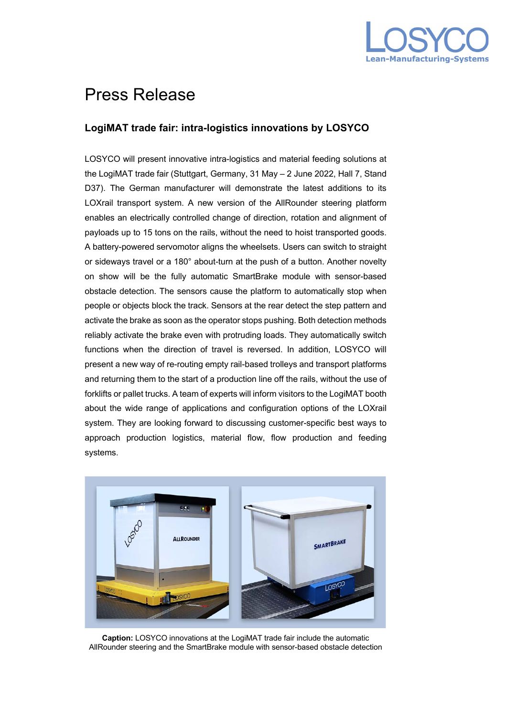

## Press Release

## **LogiMAT trade fair: intra-logistics innovations by LOSYCO**

LOSYCO will present innovative intra-logistics and material feeding solutions at the LogiMAT trade fair (Stuttgart, Germany, 31 May – 2 June 2022, Hall 7, Stand D37). The German manufacturer will demonstrate the latest additions to its LOXrail transport system. A new version of the AllRounder steering platform enables an electrically controlled change of direction, rotation and alignment of payloads up to 15 tons on the rails, without the need to hoist transported goods. A battery-powered servomotor aligns the wheelsets. Users can switch to straight or sideways travel or a 180° about-turn at the push of a button. Another novelty on show will be the fully automatic SmartBrake module with sensor-based obstacle detection. The sensors cause the platform to automatically stop when people or objects block the track. Sensors at the rear detect the step pattern and activate the brake as soon as the operator stops pushing. Both detection methods reliably activate the brake even with protruding loads. They automatically switch functions when the direction of travel is reversed. In addition, LOSYCO will present a new way of re-routing empty rail-based trolleys and transport platforms and returning them to the start of a production line off the rails, without the use of forklifts or pallet trucks. A team of experts will inform visitors to the LogiMAT booth about the wide range of applications and configuration options of the LOXrail system. They are looking forward to discussing customer-specific best ways to approach production logistics, material flow, flow production and feeding systems.



**Caption:** LOSYCO innovations at the LogiMAT trade fair include the automatic AllRounder steering and the SmartBrake module with sensor-based obstacle detection